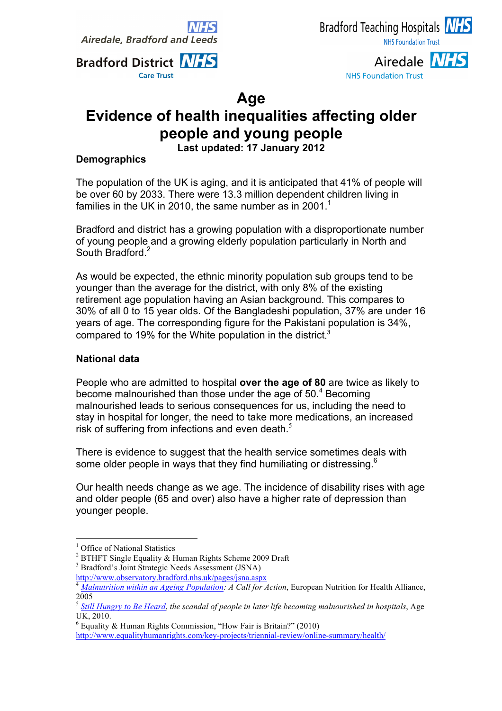**Airedale, Bradford and Lee** 



Airedale NHS **NHS Foundation Trust** 

## **Age**

# **Evidence of health inequalities affecting older people and young people**

**Last updated: 17 January 2012**

### **Demographics**

The population of the UK is aging, and it is anticipated that 41% of people will be over 60 by 2033. There were 13.3 million dependent children living in families in the UK in 2010, the same number as in 2001.<sup>1</sup>

Bradford and district has a growing population with a disproportionate number of young people and a growing elderly population particularly in North and South Bradford.<sup>2</sup>

As would be expected, the ethnic minority population sub groups tend to be younger than the average for the district, with only 8% of the existing retirement age population having an Asian background. This compares to 30% of all 0 to 15 year olds. Of the Bangladeshi population, 37% are under 16 years of age. The corresponding figure for the Pakistani population is 34%, compared to 19% for the White population in the district.<sup>3</sup>

### **National data**

People who are admitted to hospital **over the age of 80** are twice as likely to become malnourished than those under the age of 50. <sup>4</sup> Becoming malnourished leads to serious consequences for us, including the need to stay in hospital for longer, the need to take more medications, an increased risk of suffering from infections and even death. $<sup>5</sup>$ </sup>

There is evidence to suggest that the health service sometimes deals with some older people in ways that they find humiliating or distressing.<sup>6</sup>

Our health needs change as we age. The incidence of disability rises with age and older people (65 and over) also have a higher rate of depression than younger people.

 $6$  Equality & Human Rights Commission, "How Fair is Britain?" (2010) http://www.equalityhumanrights.com/key-projects/triennial-review/online-summary/health/

<sup>&</sup>lt;sup>1</sup> Office of National Statistics

<sup>2</sup> BTHFT Single Equality & Human Rights Scheme 2009 Draft <sup>3</sup> Bradford's Joint Strategic Needs Assessment (JSNA)

http://www.observatory.bradford.nhs.uk/pages/jsna.aspx<br><sup>4</sup> *Malnutrition within an Ageing Population: A Call for Action*, European Nutrition for Health Alliance, 2005

<sup>5</sup> *Still Hungry to Be Heard*, *the scandal of people in later life becoming malnourished in hospitals*, Age UK, 2010.